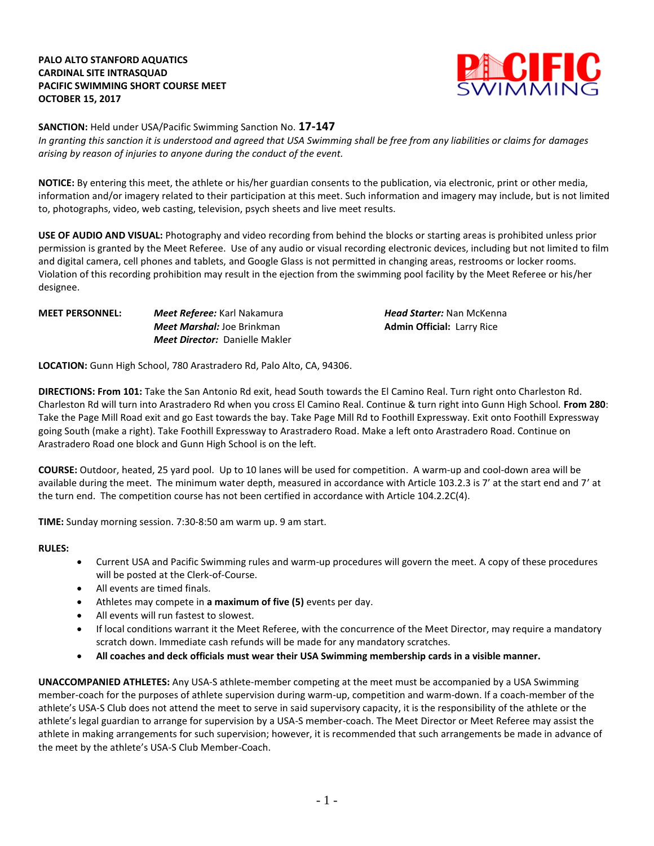## **PALO ALTO STANFORD AQUATICS CARDINAL SITE INTRASQUAD PACIFIC SWIMMING SHORT COURSE MEET OCTOBER 15, 2017**



**SANCTION:** Held under USA/Pacific Swimming Sanction No. **17-147** *In granting this sanction it is understood and agreed that USA Swimming shall be free from any liabilities or claims for damages arising by reason of injuries to anyone during the conduct of the event.*

**NOTICE:** By entering this meet, the athlete or his/her guardian consents to the publication, via electronic, print or other media, information and/or imagery related to their participation at this meet. Such information and imagery may include, but is not limited to, photographs, video, web casting, television, psych sheets and live meet results.

**USE OF AUDIO AND VISUAL:** Photography and video recording from behind the blocks or starting areas is prohibited unless prior permission is granted by the Meet Referee. Use of any audio or visual recording electronic devices, including but not limited to film and digital camera, cell phones and tablets, and Google Glass is not permitted in changing areas, restrooms or locker rooms. Violation of this recording prohibition may result in the ejection from the swimming pool facility by the Meet Referee or his/her designee.

#### **MEET PERSONNEL:** *Meet Referee:* Karl Nakamura *Head Starter:* Nan McKenna *Meet Marshal:* **Joe Brinkman <b>Admin Official:** Larry Rice *Meet Director:* Danielle Makler

**LOCATION:** Gunn High School, 780 Arastradero Rd, Palo Alto, CA, 94306.

**DIRECTIONS: From 101:** Take the San Antonio Rd exit, head South towards the El Camino Real. Turn right onto Charleston Rd. Charleston Rd will turn into Arastradero Rd when you cross El Camino Real. Continue & turn right into Gunn High School. **From 280**: Take the Page Mill Road exit and go East towards the bay. Take Page Mill Rd to Foothill Expressway. Exit onto Foothill Expressway going South (make a right). Take Foothill Expressway to Arastradero Road. Make a left onto Arastradero Road. Continue on Arastradero Road one block and Gunn High School is on the left.

**COURSE:** Outdoor, heated, 25 yard pool.Up to 10 lanes will be used for competition. A warm-up and cool-down area will be available during the meet. The minimum water depth, measured in accordance with Article 103.2.3 is 7' at the start end and 7' at the turn end. The competition course has not been certified in accordance with Article 104.2.2C(4).

**TIME:** Sunday morning session. 7:30-8:50 am warm up. 9 am start.

#### **RULES:**

- Current USA and Pacific Swimming rules and warm-up procedures will govern the meet. A copy of these procedures will be posted at the Clerk-of-Course.
- All events are timed finals.
- Athletes may compete in **a maximum of five (5)** events per day.
- All events will run fastest to slowest.
- If local conditions warrant it the Meet Referee, with the concurrence of the Meet Director, may require a mandatory scratch down. Immediate cash refunds will be made for any mandatory scratches.
- **All coaches and deck officials must wear their USA Swimming membership cards in a visible manner.**

**UNACCOMPANIED ATHLETES:** Any USA-S athlete-member competing at the meet must be accompanied by a USA Swimming member-coach for the purposes of athlete supervision during warm-up, competition and warm-down. If a coach-member of the athlete's USA-S Club does not attend the meet to serve in said supervisory capacity, it is the responsibility of the athlete or the athlete's legal guardian to arrange for supervision by a USA-S member-coach. The Meet Director or Meet Referee may assist the athlete in making arrangements for such supervision; however, it is recommended that such arrangements be made in advance of the meet by the athlete's USA-S Club Member-Coach.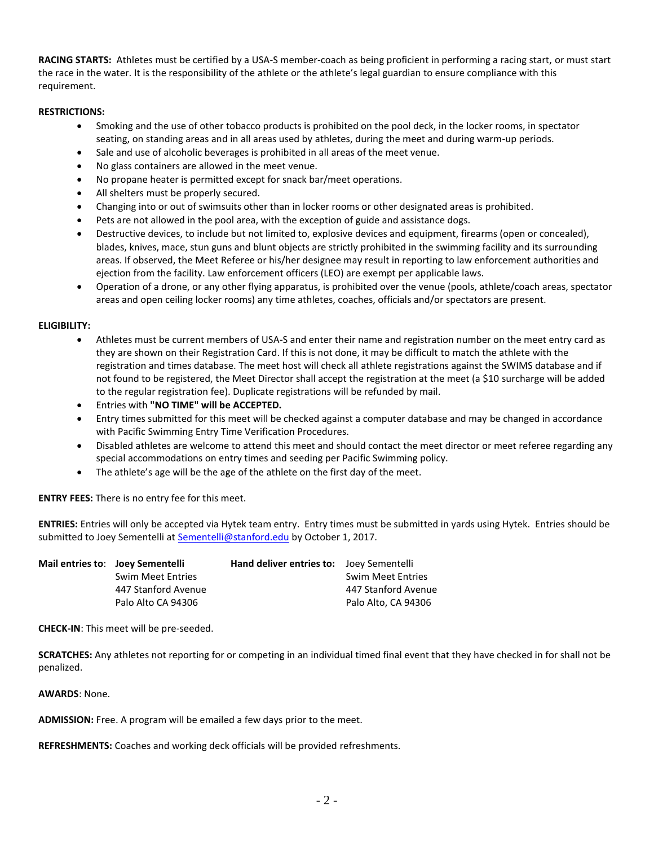**RACING STARTS:** Athletes must be certified by a USA-S member-coach as being proficient in performing a racing start, or must start the race in the water. It is the responsibility of the athlete or the athlete's legal guardian to ensure compliance with this requirement.

## **RESTRICTIONS:**

- Smoking and the use of other tobacco products is prohibited on the pool deck, in the locker rooms, in spectator seating, on standing areas and in all areas used by athletes, during the meet and during warm-up periods.
- Sale and use of alcoholic beverages is prohibited in all areas of the meet venue.
- No glass containers are allowed in the meet venue.
- No propane heater is permitted except for snack bar/meet operations.
- All shelters must be properly secured.
- Changing into or out of swimsuits other than in locker rooms or other designated areas is prohibited.
- Pets are not allowed in the pool area, with the exception of guide and assistance dogs.
- Destructive devices, to include but not limited to, explosive devices and equipment, firearms (open or concealed), blades, knives, mace, stun guns and blunt objects are strictly prohibited in the swimming facility and its surrounding areas. If observed, the Meet Referee or his/her designee may result in reporting to law enforcement authorities and ejection from the facility. Law enforcement officers (LEO) are exempt per applicable laws.
- Operation of a drone, or any other flying apparatus, is prohibited over the venue (pools, athlete/coach areas, spectator areas and open ceiling locker rooms) any time athletes, coaches, officials and/or spectators are present.

#### **ELIGIBILITY:**

- Athletes must be current members of USA-S and enter their name and registration number on the meet entry card as they are shown on their Registration Card. If this is not done, it may be difficult to match the athlete with the registration and times database. The meet host will check all athlete registrations against the SWIMS database and if not found to be registered, the Meet Director shall accept the registration at the meet (a \$10 surcharge will be added to the regular registration fee). Duplicate registrations will be refunded by mail.
- Entries with **"NO TIME" will be ACCEPTED.**
- Entry times submitted for this meet will be checked against a computer database and may be changed in accordance with Pacific Swimming Entry Time Verification Procedures.
- Disabled athletes are welcome to attend this meet and should contact the meet director or meet referee regarding any special accommodations on entry times and seeding per Pacific Swimming policy.
- The athlete's age will be the age of the athlete on the first day of the meet.

**ENTRY FEES:** There is no entry fee for this meet.

**ENTRIES:** Entries will only be accepted via Hytek team entry. Entry times must be submitted in yards using Hytek. Entries should be submitted to Joey Sementelli a[t Sementelli@stanford.edu](mailto:Sementelli@stanford.edu) by October 1, 2017.

| Mail entries to: Joey Sementelli |                          | <b>Hand deliver entries to:</b> Joey Sementelli |                          |
|----------------------------------|--------------------------|-------------------------------------------------|--------------------------|
|                                  | <b>Swim Meet Entries</b> |                                                 | <b>Swim Meet Entries</b> |
|                                  | 447 Stanford Avenue      |                                                 | 447 Stanford Avenue      |
|                                  | Palo Alto CA 94306       |                                                 | Palo Alto, CA 94306      |

**CHECK-IN**: This meet will be pre-seeded.

**SCRATCHES:** Any athletes not reporting for or competing in an individual timed final event that they have checked in for shall not be penalized.

**AWARDS**: None.

**ADMISSION:** Free. A program will be emailed a few days prior to the meet.

**REFRESHMENTS:** Coaches and working deck officials will be provided refreshments.